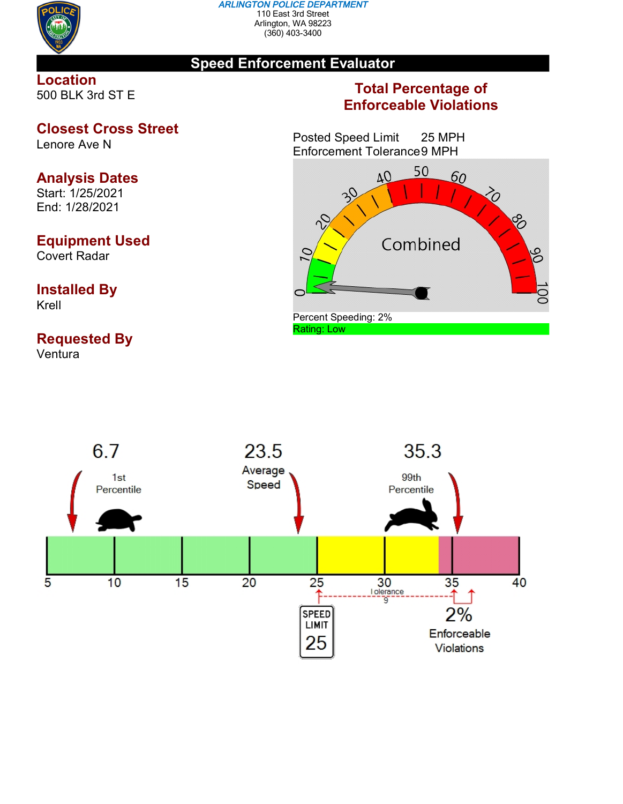

#### *ARLINGTON POLICE DEPARTMENT* 110 East 3rd Street Arlington, WA 98223 (360) 403-3400

## **Speed Enforcement Evaluator**

## **Location** 500 BLK 3rd ST E

## **Closest Cross Street**

Lenore Ave N

# **Analysis Dates**

Start: 1/25/2021 End: 1/28/2021

## **Equipment Used**

Covert Radar

## **Installed By** Krell

# **Requested By**

Ventura

## **Total Percentage of Enforceable Violations**

Posted Speed Limit 25 MPH Enforcement Tolerance9 MPH